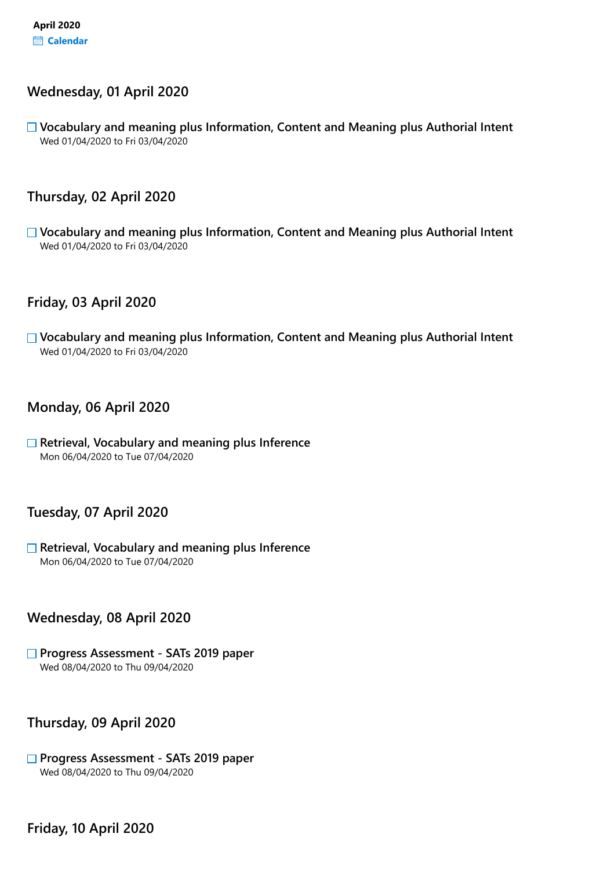#### Wednesday, 01 April 2020

 $\Box$  Vocabulary and meaning plus Information, Content and Meaning plus Authorial Intent Wed 01/04/2020 to Fri 03/04/2020

## Thursday, 02 April 2020

 $\Box$  Vocabulary and meaning plus Information, Content and Meaning plus Authorial Intent Wed 01/04/2020 to Fri 03/04/2020

#### Friday, 03 April 2020

□ Vocabulary and meaning plus Information, Content and Meaning plus Authorial Intent Wed 01/04/2020 to Fri 03/04/2020

#### Monday, 06 April 2020

 $\Box$  Retrieval, Vocabulary and meaning plus Inference Mon 06/04/2020 to Tue 07/04/2020

#### Tuesday, 07 April 2020

 $\Box$  Retrieval, Vocabulary and meaning plus Inference Mon 06/04/2020 to Tue 07/04/2020

#### Wednesday, 08 April 2020

#### □ Progress Assessment - SATs 2019 paper Wed 08/04/2020 to Thu 09/04/2020

Thursday, 09 April 2020

#### □ Progress Assessment - SATs 2019 paper Wed 08/04/2020 to Thu 09/04/2020

Friday, 10 April 2020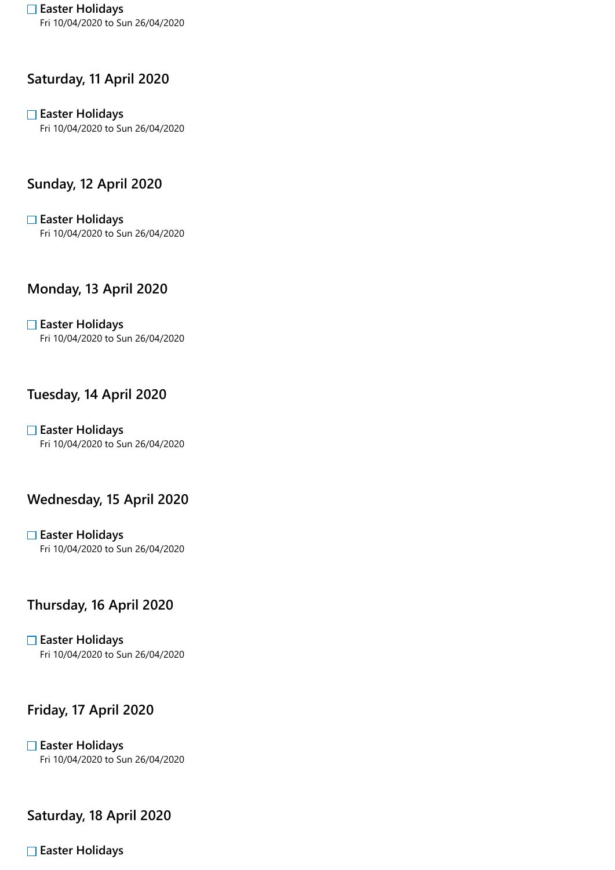□ Easter Holidays Fri 10/04/2020 to Sun 26/04/2020

## Saturday, 11 April 2020

# $\square$  Easter Holidays

Fri 10/04/2020 to Sun 26/04/2020

## Sunday, 12 April 2020

 $\square$  Easter Holidays Fri 10/04/2020 to Sun 26/04/2020

## Monday, 13 April 2020

 $\Box$  Easter Holidays Fri 10/04/2020 to Sun 26/04/2020

#### Tuesday, 14 April 2020

 $\Box$  Easter Holidays Fri 10/04/2020 to Sun 26/04/2020

#### Wednesday, 15 April 2020

**□ Easter Holidays** Fri 10/04/2020 to Sun 26/04/2020

## Thursday, 16 April 2020

 $\square$  Easter Holidays Fri 10/04/2020 to Sun 26/04/2020

## Friday, 17 April 2020

 $\square$  Easter Holidays Fri 10/04/2020 to Sun 26/04/2020

#### Saturday, 18 April 2020

 $\Box$  Easter Holidays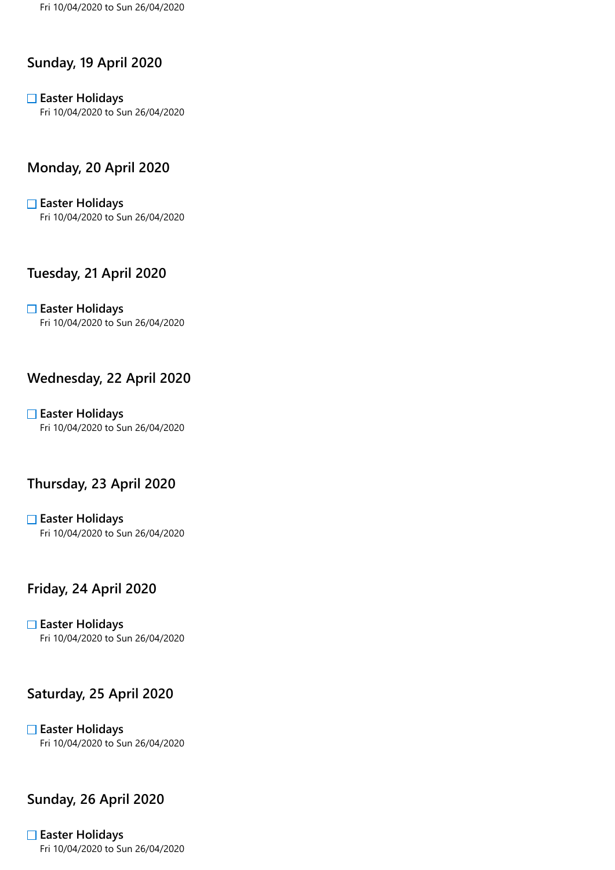#### Sunday, 19 April 2020

 $\Box$  Easter Holidays Fri 10/04/2020 to Sun 26/04/2020

#### Monday, 20 April 2020

 $\square$  Easter Holidays Fri 10/04/2020 to Sun 26/04/2020

#### Tuesday, 21 April 2020

 $\Box$  Easter Holidays Fri 10/04/2020 to Sun 26/04/2020

# Wednesday, 22 April 2020

 $\Box$  Easter Holidays Fri 10/04/2020 to Sun 26/04/2020

#### Thursday, 23 April 2020

 $\square$  Easter Holidays Fri 10/04/2020 to Sun 26/04/2020

# Friday, 24 April 2020

 $\square$  Easter Holidays Fri 10/04/2020 to Sun 26/04/2020

#### Saturday, 25 April 2020

 $\Box$  Easter Holidays Fri 10/04/2020 to Sun 26/04/2020

# Sunday, 26 April 2020

#### $\square$  Easter Holidays

Fri 10/04/2020 to Sun 26/04/2020